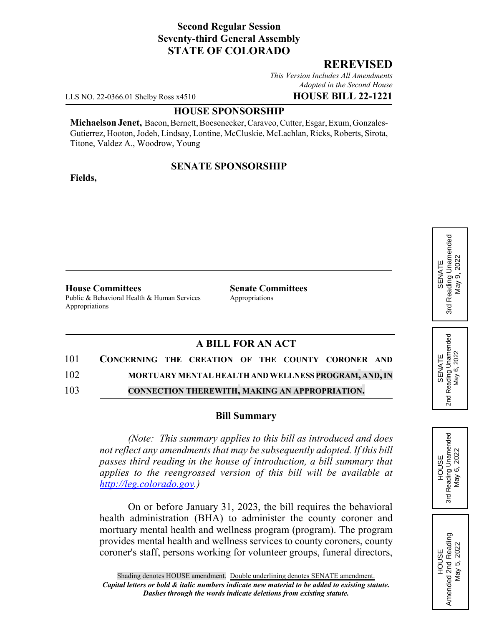## **Second Regular Session Seventy-third General Assembly STATE OF COLORADO**

### **REREVISED**

*This Version Includes All Amendments Adopted in the Second House*

LLS NO. 22-0366.01 Shelby Ross x4510 **HOUSE BILL 22-1221**

#### **HOUSE SPONSORSHIP**

**Michaelson Jenet,** Bacon, Bernett, Boesenecker, Caraveo, Cutter, Esgar, Exum, Gonzales-Gutierrez, Hooton, Jodeh, Lindsay, Lontine, McCluskie, McLachlan, Ricks, Roberts, Sirota, Titone, Valdez A., Woodrow, Young

#### **SENATE SPONSORSHIP**

**Fields,**

**House Committees Senate Committees** Public & Behavioral Health & Human Services Appropriations Appropriations

# **A BILL FOR AN ACT**

| 101 | CONCERNING THE CREATION OF THE COUNTY CORONER AND    |
|-----|------------------------------------------------------|
| 102 | MORTUARY MENTAL HEALTH AND WELLNESS PROGRAM, AND, IN |
| 103 | CONNECTION THEREWITH, MAKING AN APPROPRIATION.       |

#### **Bill Summary**

*(Note: This summary applies to this bill as introduced and does not reflect any amendments that may be subsequently adopted. If this bill passes third reading in the house of introduction, a bill summary that applies to the reengrossed version of this bill will be available at http://leg.colorado.gov.)*

On or before January 31, 2023, the bill requires the behavioral health administration (BHA) to administer the county coroner and mortuary mental health and wellness program (program). The program provides mental health and wellness services to county coroners, county coroner's staff, persons working for volunteer groups, funeral directors,



3rd

May 6, 2022

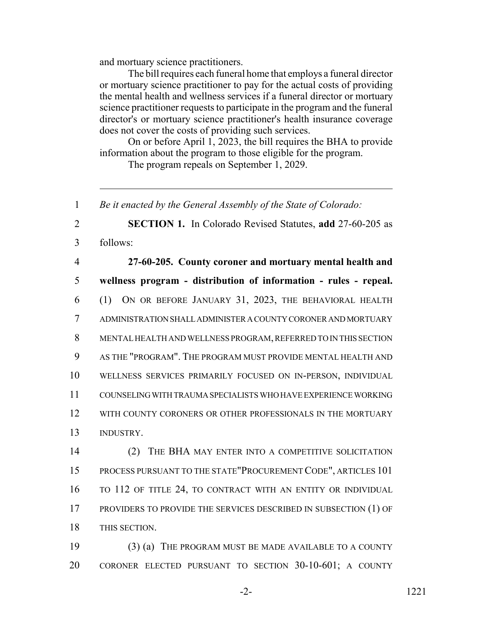and mortuary science practitioners.

The bill requires each funeral home that employs a funeral director or mortuary science practitioner to pay for the actual costs of providing the mental health and wellness services if a funeral director or mortuary science practitioner requests to participate in the program and the funeral director's or mortuary science practitioner's health insurance coverage does not cover the costs of providing such services.

On or before April 1, 2023, the bill requires the BHA to provide information about the program to those eligible for the program.

The program repeals on September 1, 2029.

 *Be it enacted by the General Assembly of the State of Colorado:* **SECTION 1.** In Colorado Revised Statutes, **add** 27-60-205 as 3 follows: **27-60-205. County coroner and mortuary mental health and**

 **wellness program - distribution of information - rules - repeal.** (1) ON OR BEFORE JANUARY 31, 2023, THE BEHAVIORAL HEALTH ADMINISTRATION SHALL ADMINISTER A COUNTY CORONER AND MORTUARY MENTAL HEALTH AND WELLNESS PROGRAM, REFERRED TO IN THIS SECTION AS THE "PROGRAM". THE PROGRAM MUST PROVIDE MENTAL HEALTH AND WELLNESS SERVICES PRIMARILY FOCUSED ON IN-PERSON, INDIVIDUAL COUNSELING WITH TRAUMA SPECIALISTS WHO HAVE EXPERIENCE WORKING 12 WITH COUNTY CORONERS OR OTHER PROFESSIONALS IN THE MORTUARY INDUSTRY.

14 (2) THE BHA MAY ENTER INTO A COMPETITIVE SOLICITATION 15 PROCESS PURSUANT TO THE STATE"PROCUREMENT CODE", ARTICLES 101 16 TO 112 OF TITLE 24, TO CONTRACT WITH AN ENTITY OR INDIVIDUAL 17 PROVIDERS TO PROVIDE THE SERVICES DESCRIBED IN SUBSECTION (1) OF 18 THIS SECTION.

19 (3) (a) THE PROGRAM MUST BE MADE AVAILABLE TO A COUNTY 20 CORONER ELECTED PURSUANT TO SECTION 30-10-601; A COUNTY

-2- 1221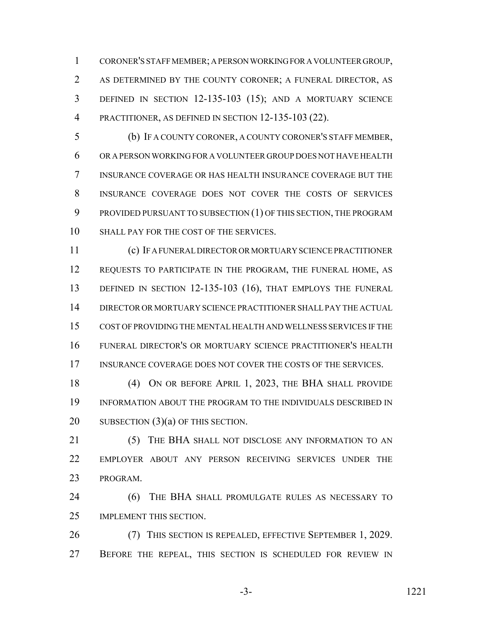CORONER'S STAFF MEMBER; A PERSON WORKING FOR A VOLUNTEER GROUP, AS DETERMINED BY THE COUNTY CORONER; A FUNERAL DIRECTOR, AS DEFINED IN SECTION 12-135-103 (15); AND A MORTUARY SCIENCE PRACTITIONER, AS DEFINED IN SECTION 12-135-103 (22).

 (b) IF A COUNTY CORONER, A COUNTY CORONER'S STAFF MEMBER, OR A PERSON WORKING FOR A VOLUNTEER GROUP DOES NOT HAVE HEALTH INSURANCE COVERAGE OR HAS HEALTH INSURANCE COVERAGE BUT THE INSURANCE COVERAGE DOES NOT COVER THE COSTS OF SERVICES PROVIDED PURSUANT TO SUBSECTION (1) OF THIS SECTION, THE PROGRAM 10 SHALL PAY FOR THE COST OF THE SERVICES.

 (c) IF A FUNERAL DIRECTOR OR MORTUARY SCIENCE PRACTITIONER 12 REQUESTS TO PARTICIPATE IN THE PROGRAM, THE FUNERAL HOME, AS 13 DEFINED IN SECTION 12-135-103 (16), THAT EMPLOYS THE FUNERAL DIRECTOR OR MORTUARY SCIENCE PRACTITIONER SHALL PAY THE ACTUAL COST OF PROVIDING THE MENTAL HEALTH AND WELLNESS SERVICES IF THE FUNERAL DIRECTOR'S OR MORTUARY SCIENCE PRACTITIONER'S HEALTH 17 INSURANCE COVERAGE DOES NOT COVER THE COSTS OF THE SERVICES.

 (4) ON OR BEFORE APRIL 1, 2023, THE BHA SHALL PROVIDE INFORMATION ABOUT THE PROGRAM TO THE INDIVIDUALS DESCRIBED IN 20 SUBSECTION (3)(a) OF THIS SECTION.

21 (5) THE BHA SHALL NOT DISCLOSE ANY INFORMATION TO AN EMPLOYER ABOUT ANY PERSON RECEIVING SERVICES UNDER THE PROGRAM.

 (6) THE BHA SHALL PROMULGATE RULES AS NECESSARY TO IMPLEMENT THIS SECTION.

 (7) THIS SECTION IS REPEALED, EFFECTIVE SEPTEMBER 1, 2029. 27 BEFORE THE REPEAL, THIS SECTION IS SCHEDULED FOR REVIEW IN

-3- 1221